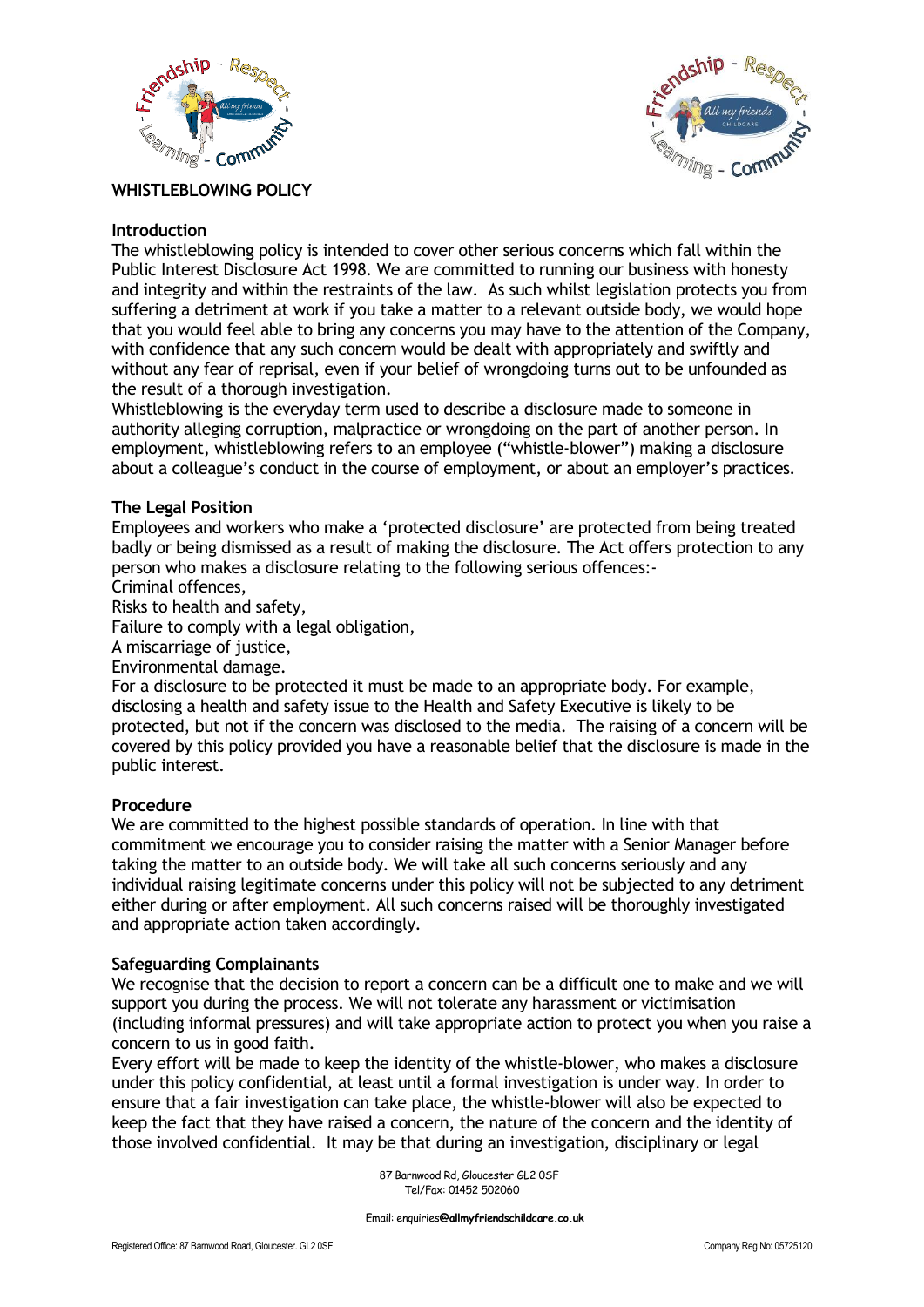



# **WHISTLEBLOWING POLICY**

# **Introduction**

The whistleblowing policy is intended to cover other serious concerns which fall within the Public Interest Disclosure Act 1998. We are committed to running our business with honesty and integrity and within the restraints of the law. As such whilst legislation protects you from suffering a detriment at work if you take a matter to a relevant outside body, we would hope that you would feel able to bring any concerns you may have to the attention of the Company, with confidence that any such concern would be dealt with appropriately and swiftly and without any fear of reprisal, even if your belief of wrongdoing turns out to be unfounded as the result of a thorough investigation.

Whistleblowing is the everyday term used to describe a disclosure made to someone in authority alleging corruption, malpractice or wrongdoing on the part of another person. In employment, whistleblowing refers to an employee ("whistle-blower") making a disclosure about a colleague's conduct in the course of employment, or about an employer's practices.

### **The Legal Position**

Employees and workers who make a 'protected disclosure' are protected from being treated badly or being dismissed as a result of making the disclosure. The Act offers protection to any person who makes a disclosure relating to the following serious offences:-

Criminal offences,

Risks to health and safety,

Failure to comply with a legal obligation,

A miscarriage of justice,

Environmental damage.

For a disclosure to be protected it must be made to an appropriate body. For example, disclosing a health and safety issue to the Health and Safety Executive is likely to be protected, but not if the concern was disclosed to the media. The raising of a concern will be covered by this policy provided you have a reasonable belief that the disclosure is made in the public interest.

#### **Procedure**

We are committed to the highest possible standards of operation. In line with that commitment we encourage you to consider raising the matter with a Senior Manager before taking the matter to an outside body. We will take all such concerns seriously and any individual raising legitimate concerns under this policy will not be subjected to any detriment either during or after employment. All such concerns raised will be thoroughly investigated and appropriate action taken accordingly.

#### **Safeguarding Complainants**

We recognise that the decision to report a concern can be a difficult one to make and we will support you during the process. We will not tolerate any harassment or victimisation (including informal pressures) and will take appropriate action to protect you when you raise a concern to us in good faith.

Every effort will be made to keep the identity of the whistle-blower, who makes a disclosure under this policy confidential, at least until a formal investigation is under way. In order to ensure that a fair investigation can take place, the whistle-blower will also be expected to keep the fact that they have raised a concern, the nature of the concern and the identity of those involved confidential. It may be that during an investigation, disciplinary or legal

> 87 Barnwood Rd, Gloucester GL2 0SF Tel/Fax: 01452 502060